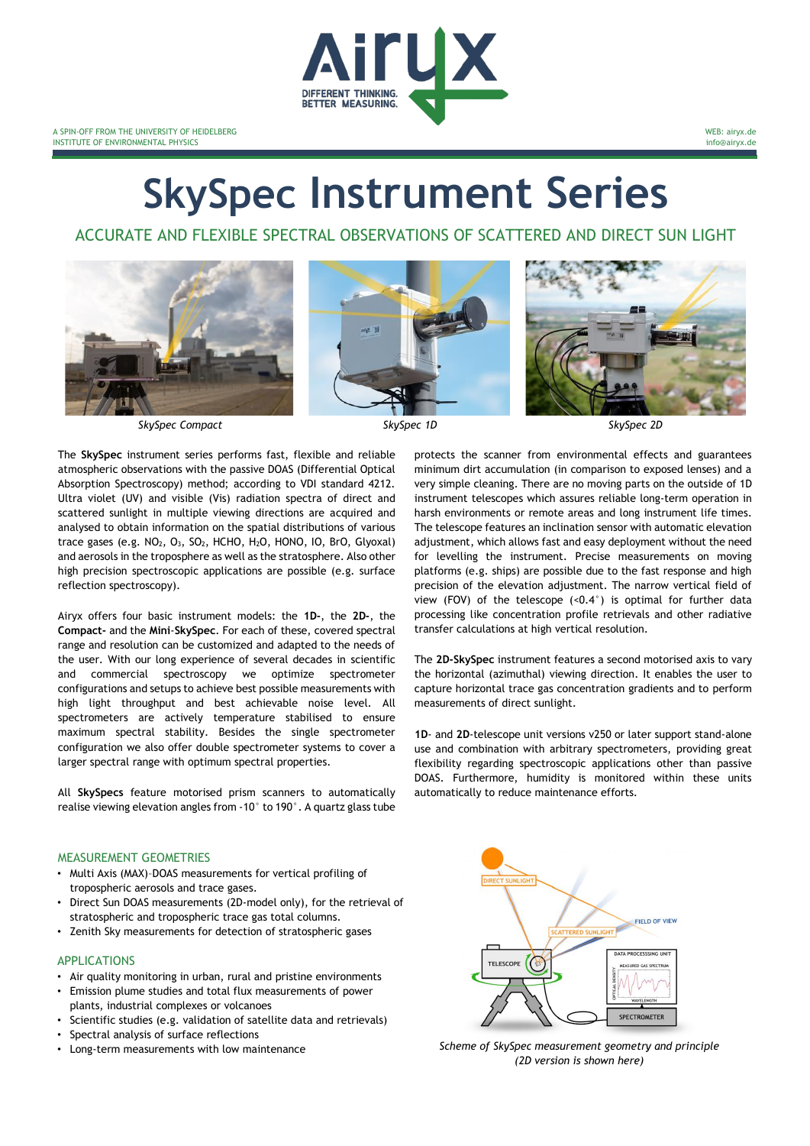

A SPIN-OFF FROM THE UNIVERSITY OF HEIDELBERG INSTITUTE OF ENVIRONMENTAL PHYSICS

WEB: airyx.de info@airyx.de

# **SkySpec Instrument Series**

ACCURATE AND FLEXIBLE SPECTRAL OBSERVATIONS OF SCATTERED AND DIRECT SUN LIGHT







*SkySpec Compact SkySpec 1D SkySpec 2D*

The **SkySpec** instrument series performs fast, flexible and reliable atmospheric observations with the passive DOAS (Differential Optical Absorption Spectroscopy) method; according to VDI standard 4212. Ultra violet (UV) and visible (Vis) radiation spectra of direct and scattered sunlight in multiple viewing directions are acquired and analysed to obtain information on the spatial distributions of various trace gases (e.g.  $NO<sub>2</sub>$ ,  $O<sub>3</sub>$ ,  $SO<sub>2</sub>$ , HCHO,  $H<sub>2</sub>O$ , HONO, IO, BrO, Glyoxal) and aerosols in the troposphere as well as the stratosphere. Also other high precision spectroscopic applications are possible (e.g. surface reflection spectroscopy).

Airyx offers four basic instrument models: the **1D-**, the **2D-**, the **Compact-** and the **Mini**-**SkySpec**. For each of these, covered spectral range and resolution can be customized and adapted to the needs of the user. With our long experience of several decades in scientific and commercial spectroscopy we optimize spectrometer configurations and setups to achieve best possible measurements with high light throughput and best achievable noise level. All spectrometers are actively temperature stabilised to ensure maximum spectral stability. Besides the single spectrometer configuration we also offer double spectrometer systems to cover a larger spectral range with optimum spectral properties.

All **SkySpecs** feature motorised prism scanners to automatically realise viewing elevation angles from -10° to 190°. A quartz glass tube

## MEASUREMENT GEOMETRIES

- Multi Axis (MAX)–DOAS measurements for vertical profiling of tropospheric aerosols and trace gases.
- Direct Sun DOAS measurements (2D-model only), for the retrieval of stratospheric and tropospheric trace gas total columns.
- Zenith Sky measurements for detection of stratospheric gases

## APPLICATIONS

- Air quality monitoring in urban, rural and pristine environments
- Emission plume studies and total flux measurements of power plants, industrial complexes or volcanoes
- Scientific studies (e.g. validation of satellite data and retrievals)
- Spectral analysis of surface reflections
- 

protects the scanner from environmental effects and guarantees minimum dirt accumulation (in comparison to exposed lenses) and a very simple cleaning. There are no moving parts on the outside of 1D instrument telescopes which assures reliable long-term operation in harsh environments or remote areas and long instrument life times. The telescope features an inclination sensor with automatic elevation adjustment, which allows fast and easy deployment without the need for levelling the instrument. Precise measurements on moving platforms (e.g. ships) are possible due to the fast response and high precision of the elevation adjustment. The narrow vertical field of view (FOV) of the telescope  $($ <0.4 $)$  is optimal for further data processing like concentration profile retrievals and other radiative transfer calculations at high vertical resolution.

The **2D-SkySpec** instrument features a second motorised axis to vary the horizontal (azimuthal) viewing direction. It enables the user to capture horizontal trace gas concentration gradients and to perform measurements of direct sunlight.

**1D**- and **2D**-telescope unit versions v250 or later support stand-alone use and combination with arbitrary spectrometers, providing great flexibility regarding spectroscopic applications other than passive DOAS. Furthermore, humidity is monitored within these units automatically to reduce maintenance efforts.



• Long-term measurements with low maintenance *Scheme of SkySpec measurement geometry and principle (2D version is shown here)*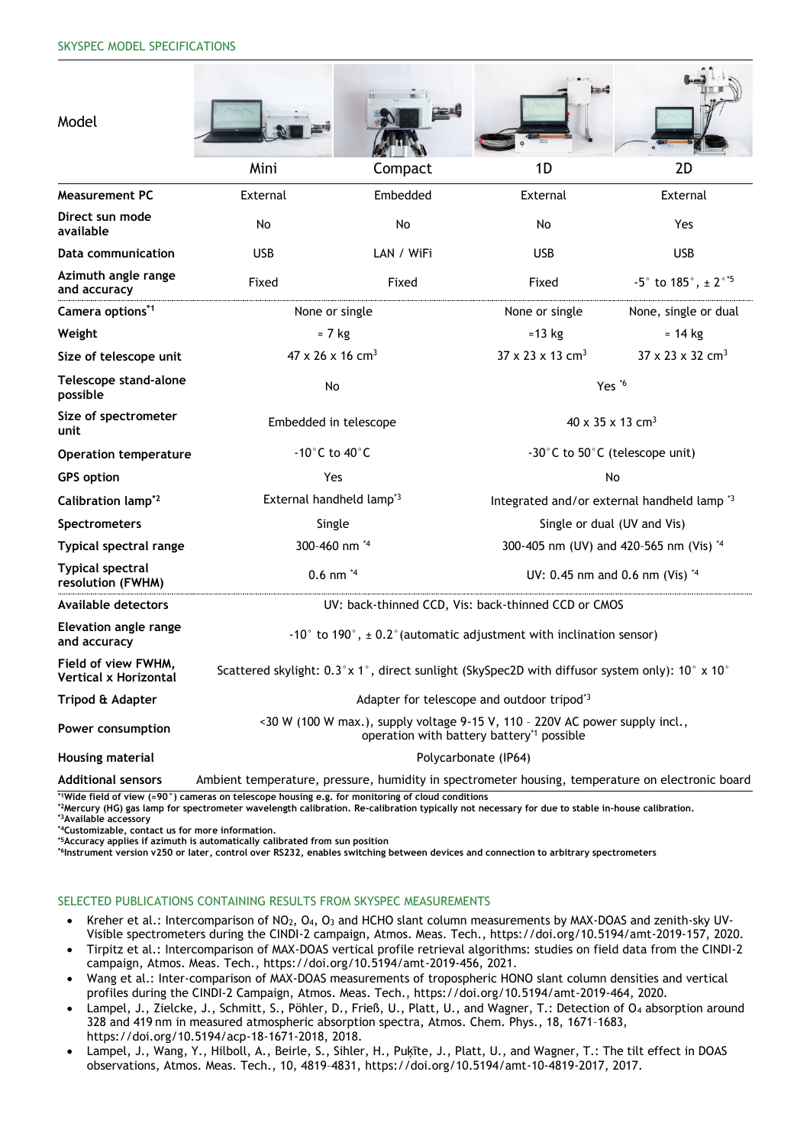| Model                                        |                                                                                                                                       |            |                                                        |                                                                   |  |  |  |
|----------------------------------------------|---------------------------------------------------------------------------------------------------------------------------------------|------------|--------------------------------------------------------|-------------------------------------------------------------------|--|--|--|
|                                              | Mini                                                                                                                                  | Compact    | 1D                                                     | 2D                                                                |  |  |  |
| <b>Measurement PC</b>                        | External                                                                                                                              | Embedded   | External                                               | External                                                          |  |  |  |
| Direct sun mode<br>available                 | No                                                                                                                                    | No         | No                                                     | Yes                                                               |  |  |  |
| Data communication                           | <b>USB</b>                                                                                                                            | LAN / WiFi | <b>USB</b>                                             | <b>USB</b>                                                        |  |  |  |
| Azimuth angle range<br>and accuracy          | Fixed                                                                                                                                 | Fixed      | Fixed                                                  | $-5^{\circ}$ to 185 $^{\circ}$ , $\pm$ 2 $^{\circ}$ <sup>+5</sup> |  |  |  |
| Camera options*1                             | None or single                                                                                                                        |            | None or single                                         | None, single or dual                                              |  |  |  |
| Weight                                       | $\approx$ 7 kg                                                                                                                        |            | $\approx$ 13 kg                                        | $\approx$ 14 kg                                                   |  |  |  |
| Size of telescope unit                       | $47 \times 26 \times 16$ cm <sup>3</sup>                                                                                              |            | $37 \times 23 \times 13$ cm <sup>3</sup>               | $37 \times 23 \times 32$ cm <sup>3</sup>                          |  |  |  |
| Telescope stand-alone<br>possible            | No                                                                                                                                    |            | Yes *6                                                 |                                                                   |  |  |  |
| Size of spectrometer<br>unit                 | Embedded in telescope                                                                                                                 |            | 40 x 35 x 13 cm <sup>3</sup>                           |                                                                   |  |  |  |
| <b>Operation temperature</b>                 | $-10^{\circ}$ C to $40^{\circ}$ C                                                                                                     |            | -30°C to 50°C (telescope unit)                         |                                                                   |  |  |  |
| <b>GPS</b> option                            | Yes                                                                                                                                   |            | <b>No</b>                                              |                                                                   |  |  |  |
| Calibration lamp <sup>*2</sup>               | External handheld lamp <sup>*3</sup>                                                                                                  |            | Integrated and/or external handheld lamp <sup>*3</sup> |                                                                   |  |  |  |
| Spectrometers                                | Single                                                                                                                                |            | Single or dual (UV and Vis)                            |                                                                   |  |  |  |
| Typical spectral range                       | 300-460 nm *4                                                                                                                         |            | 300-405 nm (UV) and 420-565 nm (Vis) *4                |                                                                   |  |  |  |
| <b>Typical spectral</b><br>resolution (FWHM) | $0.6$ nm $4$                                                                                                                          |            | UV: 0.45 nm and 0.6 nm (Vis) *4                        |                                                                   |  |  |  |
| <b>Available detectors</b>                   | UV: back-thinned CCD, Vis: back-thinned CCD or CMOS                                                                                   |            |                                                        |                                                                   |  |  |  |
| <b>Elevation angle range</b><br>and accuracy | -10 $^{\circ}$ to 190 $^{\circ}$ , $\pm$ 0.2 $^{\circ}$ (automatic adjustment with inclination sensor)                                |            |                                                        |                                                                   |  |  |  |
| Field of view FWHM,<br>Vertical x Horizontal | Scattered skylight: $0.3 \times 1$ °, direct sunlight (SkySpec2D with diffusor system only): $10\degree \times 10\degree$             |            |                                                        |                                                                   |  |  |  |
| Tripod & Adapter                             | Adapter for telescope and outdoor tripod <sup>*3</sup>                                                                                |            |                                                        |                                                                   |  |  |  |
| Power consumption                            | <30 W (100 W max.), supply voltage 9-15 V, 110 - 220V AC power supply incl.,<br>operation with battery battery <sup>*1</sup> possible |            |                                                        |                                                                   |  |  |  |
| <b>Housing material</b>                      | Polycarbonate (IP64)                                                                                                                  |            |                                                        |                                                                   |  |  |  |
| <b>Additional sensors</b>                    | Ambient temperature, pressure, humidity in spectrometer housing, temperature on electronic board                                      |            |                                                        |                                                                   |  |  |  |

**\*1Wide field of view (≈90°) cameras on telescope housing e.g. for monitoring of cloud conditions** 

**\*2Mercury (HG) gas lamp for spectrometer wavelength calibration. Re-calibration typically not necessary for due to stable in-house calibration.**

**\*3Available accessory** 

**\*4Customizable, contact us for more information. \*5Accuracy applies if azimuth is automatically calibrated from sun position**

**\*6Instrument version v250 or later, control over RS232, enables switching between devices and connection to arbitrary spectrometers**

## SELECTED PUBLICATIONS CONTAINING RESULTS FROM SKYSPEC MEASUREMENTS

- Kreher et al.: Intercomparison of NO<sub>2</sub>, O<sub>4</sub>, O<sub>3</sub> and HCHO slant column measurements by MAX-DOAS and zenith-sky UV-Visible spectrometers during the CINDI-2 campaign, Atmos. Meas. Tech., https://doi.org/10.5194/amt-2019-157, 2020.
- Tirpitz et al.: Intercomparison of MAX-DOAS vertical profile retrieval algorithms: studies on field data from the CINDI-2 campaign, Atmos. Meas. Tech., https://doi.org/10.5194/amt-2019-456, 2021.
- Wang et al.: Inter-comparison of MAX-DOAS measurements of tropospheric HONO slant column densities and vertical profiles during the CINDI-2 Campaign, Atmos. Meas. Tech., https://doi.org/10.5194/amt-2019-464, 2020.
- Lampel, J., Zielcke, J., Schmitt, S., Pöhler, D., Frieß, U., Platt, U., and Wagner, T.: Detection of O<sup>4</sup> absorption around 328 and 419 nm in measured atmospheric absorption spectra, Atmos. Chem. Phys., 18, 1671–1683, https://doi.org/10.5194/acp-18-1671-2018, 2018.
- Lampel, J., Wang, Y., Hilboll, A., Beirle, S., Sihler, H., Puķīte, J., Platt, U., and Wagner, T.: The tilt effect in DOAS observations, Atmos. Meas. Tech., 10, 4819–4831, https://doi.org/10.5194/amt-10-4819-2017, 2017.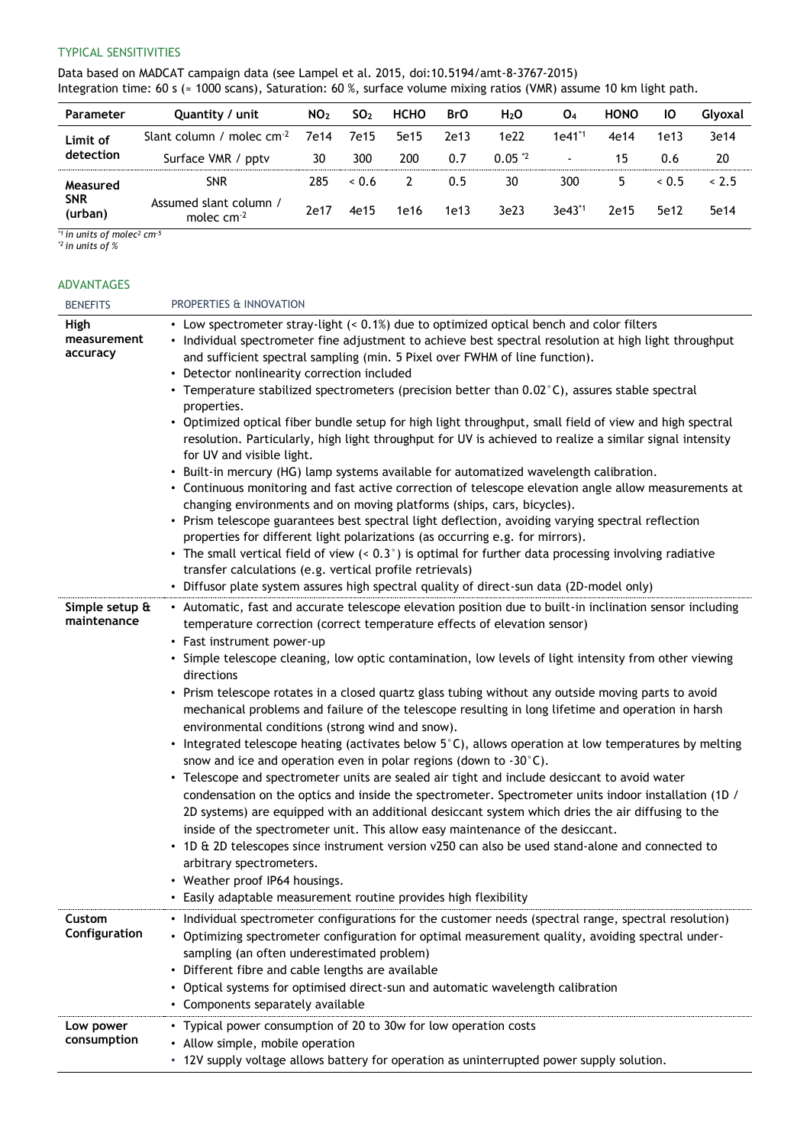## TYPICAL SENSITIVITIES

Data based on MADCAT campaign data (see Lampel et al. 2015, doi:10.5194/amt-8-3767-2015) Integration time: 60 s (≈ 1000 scans), Saturation: 60 %, surface volume mixing ratios (VMR) assume 10 km light path.

| Parameter                         | Quantity / unit                        | NO <sub>2</sub> | SO <sub>2</sub> | <b>HCHO</b> | <b>BrO</b> | H <sub>2</sub> O | O <sub>4</sub>     | <b>HONO</b> | IО   | Glvoxal |
|-----------------------------------|----------------------------------------|-----------------|-----------------|-------------|------------|------------------|--------------------|-------------|------|---------|
| Limit of<br>detection             | Slant column / molec $cm-2$            | 7e14            | 7e15            | 5e15        | 2e13       | 1e22             | 1e41 <sup>*1</sup> | 4e14        | 1e13 | 3e14    |
|                                   | Surface VMR / pptv                     | 30              | 300             | 200         | 0.7        | $0.05*2$         |                    | 15          | 0.6  | 20      |
| Measured<br><b>SNR</b><br>(urban) | <b>SNR</b>                             | 285             | 0.6             |             | 0.5        | 30               | 300                | 5           | 0.5  | & 2.5   |
|                                   | Assumed slant column /<br>molec $cm-2$ | 2e17            | 4e15            | 1e16        | 1e13       | 3e23             | $3e43^{1}$         | 2e15        | 5e12 | 5e14    |

*\*1 in units of molec<sup>2</sup> cm-5*

*\*2 in units of %*

## ADVANTAGES

| <b>BENEFITS</b>                 | PROPERTIES & INNOVATION                                                                                                                                                                                                                                                                                                                                                                                                                                                                                                                                                                                                                                                                                                                                                                                                                                                                                                                                                                                                                                                                                                                                                                                                                                                                                                                                                                                                                              |
|---------------------------------|------------------------------------------------------------------------------------------------------------------------------------------------------------------------------------------------------------------------------------------------------------------------------------------------------------------------------------------------------------------------------------------------------------------------------------------------------------------------------------------------------------------------------------------------------------------------------------------------------------------------------------------------------------------------------------------------------------------------------------------------------------------------------------------------------------------------------------------------------------------------------------------------------------------------------------------------------------------------------------------------------------------------------------------------------------------------------------------------------------------------------------------------------------------------------------------------------------------------------------------------------------------------------------------------------------------------------------------------------------------------------------------------------------------------------------------------------|
| High<br>measurement<br>accuracy | • Low spectrometer stray-light (< 0.1%) due to optimized optical bench and color filters<br>• Individual spectrometer fine adjustment to achieve best spectral resolution at high light throughput<br>and sufficient spectral sampling (min. 5 Pixel over FWHM of line function).<br>• Detector nonlinearity correction included<br>• Temperature stabilized spectrometers (precision better than $0.02^{\circ}$ C), assures stable spectral<br>properties.<br>• Optimized optical fiber bundle setup for high light throughput, small field of view and high spectral<br>resolution. Particularly, high light throughput for UV is achieved to realize a similar signal intensity<br>for UV and visible light.<br>• Built-in mercury (HG) lamp systems available for automatized wavelength calibration.<br>• Continuous monitoring and fast active correction of telescope elevation angle allow measurements at<br>changing environments and on moving platforms (ships, cars, bicycles).<br>• Prism telescope guarantees best spectral light deflection, avoiding varying spectral reflection<br>properties for different light polarizations (as occurring e.g. for mirrors).<br>• The small vertical field of view (< 0.3°) is optimal for further data processing involving radiative<br>transfer calculations (e.g. vertical profile retrievals)<br>• Diffusor plate system assures high spectral quality of direct-sun data (2D-model only) |
| Simple setup &<br>maintenance   | • Automatic, fast and accurate telescope elevation position due to built-in inclination sensor including<br>temperature correction (correct temperature effects of elevation sensor)<br>• Fast instrument power-up<br>• Simple telescope cleaning, low optic contamination, low levels of light intensity from other viewing<br>directions<br>• Prism telescope rotates in a closed quartz glass tubing without any outside moving parts to avoid<br>mechanical problems and failure of the telescope resulting in long lifetime and operation in harsh<br>environmental conditions (strong wind and snow).<br>• Integrated telescope heating (activates below 5°C), allows operation at low temperatures by melting<br>snow and ice and operation even in polar regions (down to $-30^{\circ}$ C).<br>• Telescope and spectrometer units are sealed air tight and include desiccant to avoid water<br>condensation on the optics and inside the spectrometer. Spectrometer units indoor installation (1D /<br>2D systems) are equipped with an additional desiccant system which dries the air diffusing to the<br>inside of the spectrometer unit. This allow easy maintenance of the desiccant.<br>• 1D & 2D telescopes since instrument version v250 can also be used stand-alone and connected to<br>arbitrary spectrometers.<br>• Weather proof IP64 housings.<br>• Easily adaptable measurement routine provides high flexibility             |
| Custom<br>Configuration         | • Individual spectrometer configurations for the customer needs (spectral range, spectral resolution)<br>• Optimizing spectrometer configuration for optimal measurement quality, avoiding spectral under-<br>sampling (an often underestimated problem)<br>• Different fibre and cable lengths are available<br>• Optical systems for optimised direct-sun and automatic wavelength calibration<br>• Components separately available                                                                                                                                                                                                                                                                                                                                                                                                                                                                                                                                                                                                                                                                                                                                                                                                                                                                                                                                                                                                                |
| Low power<br>consumption        | • Typical power consumption of 20 to 30w for low operation costs<br>• Allow simple, mobile operation<br>12V supply voltage allows battery for operation as uninterrupted power supply solution.                                                                                                                                                                                                                                                                                                                                                                                                                                                                                                                                                                                                                                                                                                                                                                                                                                                                                                                                                                                                                                                                                                                                                                                                                                                      |